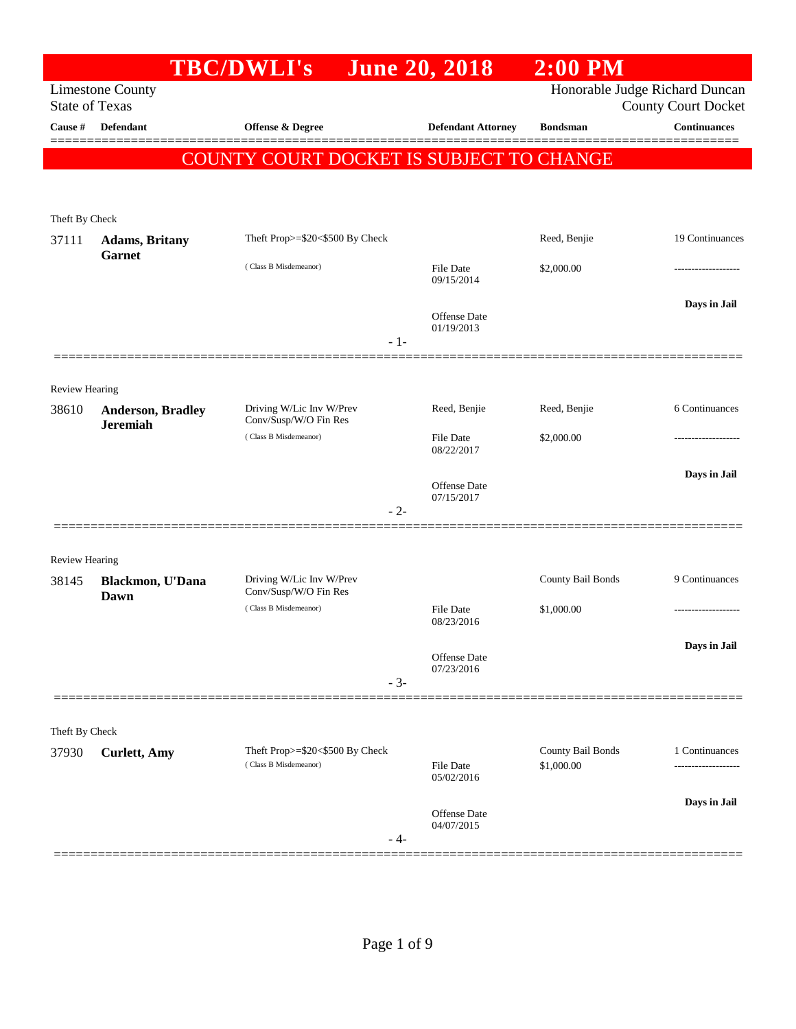|                       |                         | <b>TBC/DWLI's</b>                                        |       | <b>June 20, 2018</b>              | $2:00$ PM                       |                                                              |
|-----------------------|-------------------------|----------------------------------------------------------|-------|-----------------------------------|---------------------------------|--------------------------------------------------------------|
| <b>State of Texas</b> | <b>Limestone County</b> |                                                          |       |                                   |                                 | Honorable Judge Richard Duncan<br><b>County Court Docket</b> |
| Cause #               | Defendant               | <b>Offense &amp; Degree</b>                              |       | <b>Defendant Attorney</b>         | <b>Bondsman</b>                 | <b>Continuances</b>                                          |
|                       |                         | COUNTY COURT DOCKET IS SUBJECT TO CHANGE                 |       |                                   |                                 |                                                              |
|                       |                         |                                                          |       |                                   |                                 |                                                              |
| Theft By Check        |                         |                                                          |       |                                   |                                 |                                                              |
| 37111                 | <b>Adams</b> , Britany  | Theft Prop>=\$20<\$500 By Check                          |       |                                   | Reed, Benjie                    | 19 Continuances                                              |
|                       | <b>Garnet</b>           | (Class B Misdemeanor)                                    |       | <b>File Date</b><br>09/15/2014    | \$2,000.00                      |                                                              |
|                       |                         |                                                          | $-1-$ | <b>Offense Date</b><br>01/19/2013 |                                 | Days in Jail                                                 |
| <b>Review Hearing</b> |                         |                                                          |       |                                   |                                 |                                                              |
| 38610                 | Anderson, Bradley       | Driving W/Lic Inv W/Prev<br>Conv/Susp/W/O Fin Res        |       | Reed, Benjie                      | Reed, Benjie                    | 6 Continuances                                               |
|                       | <b>Jeremiah</b>         | (Class B Misdemeanor)                                    |       | <b>File Date</b><br>08/22/2017    | \$2,000.00                      |                                                              |
|                       |                         |                                                          |       | <b>Offense Date</b><br>07/15/2017 |                                 | Days in Jail                                                 |
|                       |                         |                                                          | $-2-$ |                                   |                                 |                                                              |
| <b>Review Hearing</b> |                         |                                                          |       |                                   |                                 |                                                              |
| 38145                 | Blackmon, U'Dana        | Driving W/Lic Inv W/Prev                                 |       |                                   | County Bail Bonds               | 9 Continuances                                               |
|                       | Dawn                    | Conv/Susp/W/O Fin Res<br>(Class B Misdemeanor)           |       | <b>File Date</b><br>08/23/2016    | \$1,000.00                      |                                                              |
|                       |                         |                                                          | $-3-$ | Offense Date<br>07/23/2016        |                                 | Days in Jail                                                 |
|                       |                         |                                                          |       |                                   |                                 |                                                              |
| Theft By Check        |                         |                                                          |       |                                   |                                 |                                                              |
| 37930                 | <b>Curlett</b> , Amy    | Theft Prop>=\$20<\$500 By Check<br>(Class B Misdemeanor) |       | <b>File Date</b>                  | County Bail Bonds<br>\$1,000.00 | 1 Continuances<br>-----------------                          |
|                       |                         |                                                          |       | 05/02/2016                        |                                 |                                                              |
|                       |                         |                                                          | - 4-  | <b>Offense Date</b><br>04/07/2015 |                                 | Days in Jail                                                 |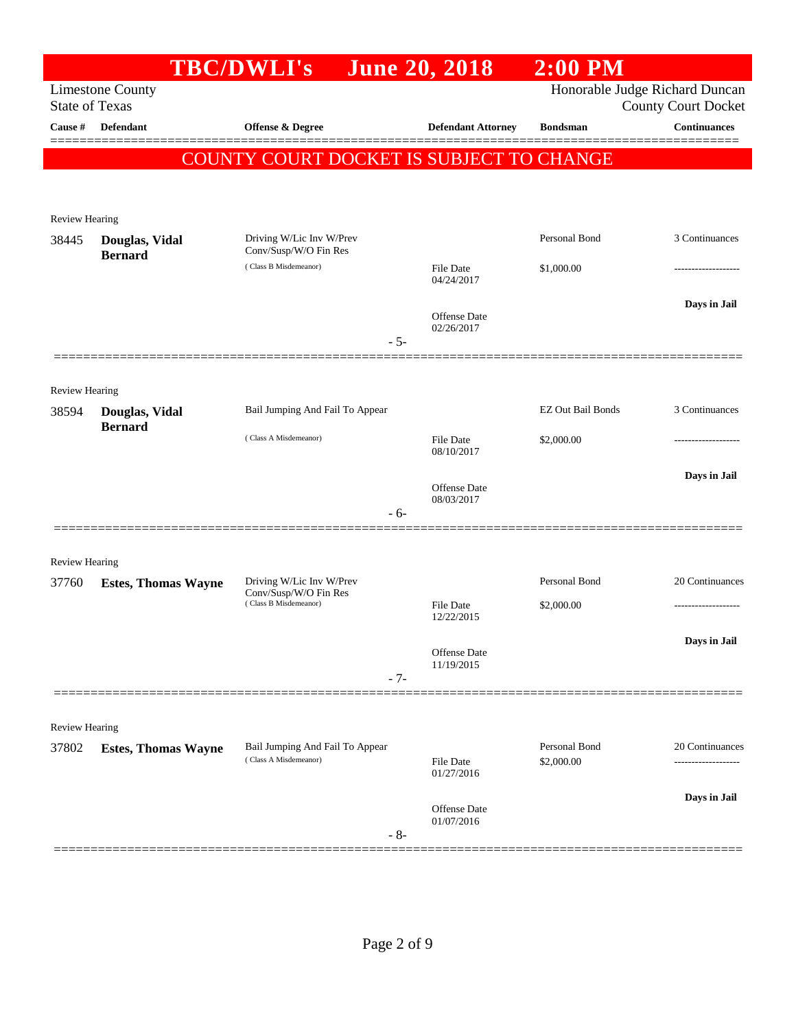|                                |                            | <b>TBC/DWLI's</b>                              | <b>June 20, 2018</b>           | $2:00$ PM         |                                |
|--------------------------------|----------------------------|------------------------------------------------|--------------------------------|-------------------|--------------------------------|
|                                | <b>Limestone County</b>    |                                                |                                |                   | Honorable Judge Richard Duncan |
| <b>State of Texas</b>          |                            |                                                |                                |                   | <b>County Court Docket</b>     |
| Cause #                        | Defendant                  | Offense & Degree                               | <b>Defendant Attorney</b>      | <b>Bondsman</b>   | <b>Continuances</b><br>======= |
|                                |                            | COUNTY COURT DOCKET IS SUBJECT TO CHANGE       |                                |                   |                                |
|                                |                            |                                                |                                |                   |                                |
| Review Hearing                 |                            |                                                |                                |                   |                                |
| 38445                          | Douglas, Vidal             | Driving W/Lic Inv W/Prev                       |                                | Personal Bond     | 3 Continuances                 |
|                                | <b>Bernard</b>             | Conv/Susp/W/O Fin Res<br>(Class B Misdemeanor) | File Date                      | \$1,000.00        |                                |
|                                |                            |                                                | 04/24/2017                     |                   |                                |
|                                |                            |                                                | Offense Date                   |                   | Days in Jail                   |
|                                |                            | $-5-$                                          | 02/26/2017                     |                   |                                |
|                                |                            |                                                |                                |                   |                                |
|                                |                            |                                                |                                |                   |                                |
| Review Hearing<br>38594        | Douglas, Vidal             | Bail Jumping And Fail To Appear                |                                | EZ Out Bail Bonds | 3 Continuances                 |
|                                | <b>Bernard</b>             | (Class A Misdemeanor)                          |                                |                   |                                |
|                                |                            |                                                | File Date<br>08/10/2017        | \$2,000.00        |                                |
|                                |                            |                                                |                                |                   | Days in Jail                   |
|                                |                            |                                                | Offense Date<br>08/03/2017     |                   |                                |
|                                |                            | $-6-$                                          |                                |                   |                                |
|                                |                            |                                                |                                |                   |                                |
| <b>Review Hearing</b><br>37760 | <b>Estes, Thomas Wayne</b> | Driving W/Lic Inv W/Prev                       |                                | Personal Bond     | 20 Continuances                |
|                                |                            | Conv/Susp/W/O Fin Res<br>(Class B Misdemeanor) | <b>File Date</b>               | \$2,000.00        | .                              |
|                                |                            |                                                | 12/22/2015                     |                   |                                |
|                                |                            |                                                | Offense Date                   |                   | Days in Jail                   |
|                                |                            | $-7-$                                          | 11/19/2015                     |                   |                                |
|                                |                            |                                                |                                |                   |                                |
| Review Hearing                 |                            |                                                |                                |                   |                                |
| 37802                          | <b>Estes, Thomas Wayne</b> | Bail Jumping And Fail To Appear                |                                | Personal Bond     | 20 Continuances                |
|                                |                            | (Class A Misdemeanor)                          | <b>File Date</b><br>01/27/2016 | \$2,000.00        |                                |
|                                |                            |                                                |                                |                   | Days in Jail                   |
|                                |                            |                                                | Offense Date<br>01/07/2016     |                   |                                |
|                                |                            | $-8-$                                          |                                |                   |                                |
|                                |                            |                                                |                                |                   |                                |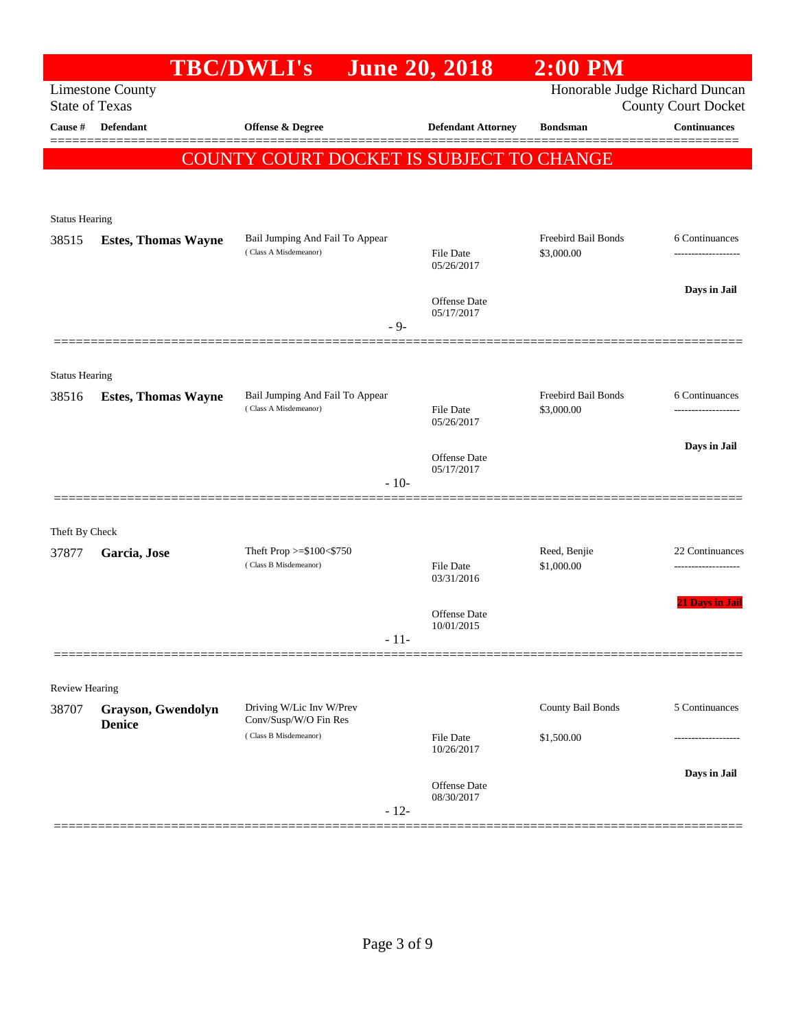|                         |                            | <b>TBC/DWLI's</b>                                        | <b>June 20, 2018</b>              | $2:00$ PM                         |                            |
|-------------------------|----------------------------|----------------------------------------------------------|-----------------------------------|-----------------------------------|----------------------------|
| <b>State of Texas</b>   | <b>Limestone County</b>    |                                                          |                                   | Honorable Judge Richard Duncan    | <b>County Court Docket</b> |
| Cause $\#$              | <b>Defendant</b>           | <b>Offense &amp; Degree</b>                              | <b>Defendant Attorney</b>         | <b>Bondsman</b>                   | <b>Continuances</b>        |
|                         |                            | COUNTY COURT DOCKET IS SUBJECT TO CHANGE                 |                                   |                                   |                            |
|                         |                            |                                                          |                                   |                                   |                            |
| <b>Status Hearing</b>   |                            |                                                          |                                   |                                   |                            |
| 38515                   | <b>Estes, Thomas Wayne</b> | Bail Jumping And Fail To Appear<br>(Class A Misdemeanor) |                                   | Freebird Bail Bonds               | 6 Continuances             |
|                         |                            |                                                          | <b>File Date</b><br>05/26/2017    | \$3,000.00                        |                            |
|                         |                            |                                                          | Offense Date                      |                                   | Days in Jail               |
|                         |                            | $-9-$                                                    | 05/17/2017                        |                                   |                            |
|                         |                            |                                                          |                                   |                                   |                            |
| <b>Status Hearing</b>   |                            |                                                          |                                   |                                   |                            |
| 38516                   | <b>Estes, Thomas Wayne</b> | Bail Jumping And Fail To Appear<br>(Class A Misdemeanor) | <b>File Date</b>                  | Freebird Bail Bonds<br>\$3,000.00 | 6 Continuances             |
|                         |                            |                                                          | 05/26/2017                        |                                   |                            |
|                         |                            |                                                          | <b>Offense</b> Date<br>05/17/2017 |                                   | Days in Jail               |
|                         |                            | $-10-$                                                   |                                   |                                   |                            |
|                         |                            |                                                          |                                   |                                   |                            |
| Theft By Check<br>37877 | Garcia, Jose               | Theft Prop >=\$100<\$750                                 |                                   | Reed, Benjie                      | 22 Continuances            |
|                         |                            | (Class B Misdemeanor)                                    | File Date<br>03/31/2016           | \$1,000.00                        |                            |
|                         |                            |                                                          |                                   |                                   | <b>21 Days in Jail</b>     |
|                         |                            |                                                          | <b>Offense Date</b><br>10/01/2015 |                                   |                            |
|                         |                            | $-11-$                                                   |                                   |                                   |                            |
| Review Hearing          |                            |                                                          |                                   |                                   |                            |
| 38707                   | Grayson, Gwendolyn         | Driving W/Lic Inv W/Prev                                 |                                   | County Bail Bonds                 | 5 Continuances             |
|                         | <b>Denice</b>              | Conv/Susp/W/O Fin Res<br>(Class B Misdemeanor)           | File Date                         | \$1,500.00                        |                            |
|                         |                            |                                                          | 10/26/2017                        |                                   | Days in Jail               |
|                         |                            |                                                          | <b>Offense Date</b><br>08/30/2017 |                                   |                            |
|                         |                            | $-12-$                                                   |                                   |                                   |                            |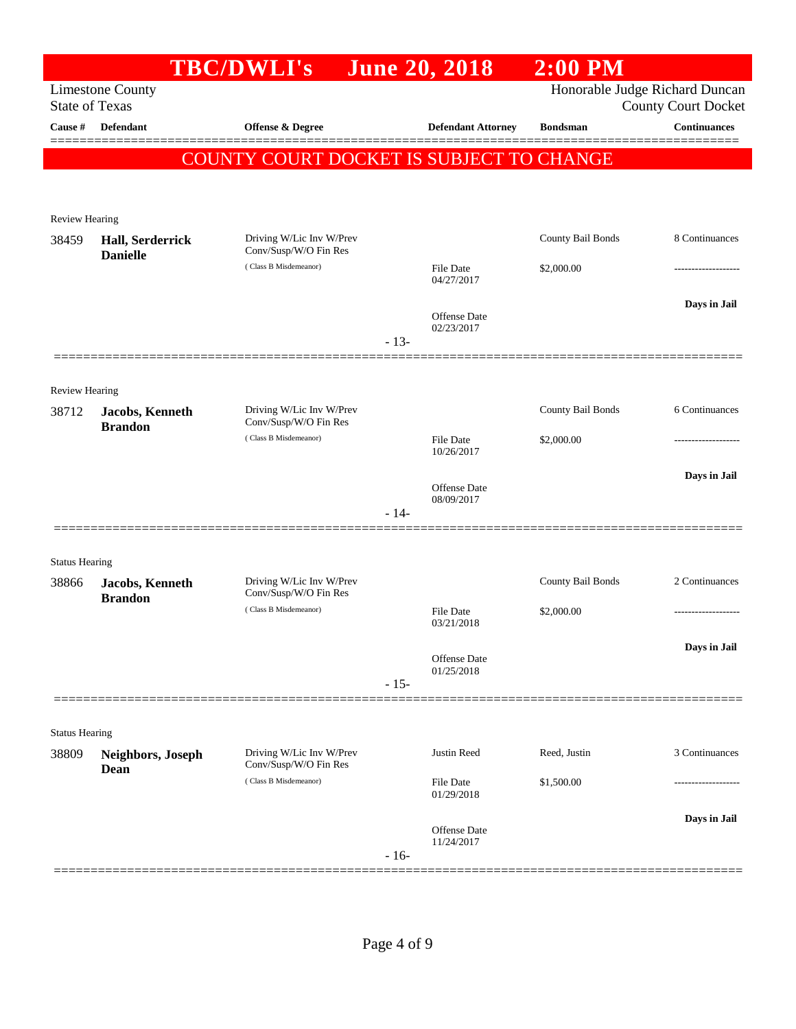| <b>State of Texas</b><br>Cause # | <b>Limestone County</b><br>Defendant | <b>TBC/DWLI's</b>                                 |        | <b>June 20, 2018</b>              | Honorable Judge Richard Duncan |                            |
|----------------------------------|--------------------------------------|---------------------------------------------------|--------|-----------------------------------|--------------------------------|----------------------------|
|                                  |                                      |                                                   |        |                                   |                                | <b>County Court Docket</b> |
|                                  |                                      | Offense & Degree                                  |        | <b>Defendant Attorney</b>         | <b>Bondsman</b>                | <b>Continuances</b>        |
|                                  |                                      | COUNTY COURT DOCKET IS SUBJECT TO CHANGE          |        |                                   |                                |                            |
| Review Hearing                   |                                      |                                                   |        |                                   |                                |                            |
| 38459                            | Hall, Serderrick<br><b>Danielle</b>  | Driving W/Lic Inv W/Prev<br>Conv/Susp/W/O Fin Res |        |                                   | County Bail Bonds              | 8 Continuances             |
|                                  |                                      | (Class B Misdemeanor)                             |        | File Date<br>04/27/2017           | \$2,000.00                     |                            |
|                                  |                                      |                                                   | $-13-$ | Offense Date<br>02/23/2017        |                                | Days in Jail               |
|                                  |                                      |                                                   |        |                                   |                                |                            |
| Review Hearing<br>38712          | Jacobs, Kenneth<br><b>Brandon</b>    | Driving W/Lic Inv W/Prev<br>Conv/Susp/W/O Fin Res |        |                                   | County Bail Bonds              | 6 Continuances             |
|                                  |                                      | (Class B Misdemeanor)                             |        | File Date<br>10/26/2017           | \$2,000.00                     |                            |
|                                  |                                      |                                                   |        | Offense Date<br>08/09/2017        |                                | Days in Jail               |
|                                  |                                      |                                                   | $-14-$ |                                   |                                |                            |
| <b>Status Hearing</b>            |                                      |                                                   |        |                                   |                                |                            |
| 38866                            | Jacobs, Kenneth<br><b>Brandon</b>    | Driving W/Lic Inv W/Prev<br>Conv/Susp/W/O Fin Res |        |                                   | County Bail Bonds              | 2 Continuances             |
|                                  |                                      | (Class B Misdemeanor)                             |        | <b>File Date</b><br>03/21/2018    | \$2,000.00                     |                            |
|                                  |                                      |                                                   |        | Offense Date<br>01/25/2018        |                                | Days in Jail               |
|                                  |                                      |                                                   | $-15-$ |                                   |                                |                            |
| <b>Status Hearing</b>            |                                      |                                                   |        |                                   |                                |                            |
| 38809                            | Neighbors, Joseph<br>Dean            | Driving W/Lic Inv W/Prev<br>Conv/Susp/W/O Fin Res |        | Justin Reed                       | Reed, Justin                   | 3 Continuances             |
|                                  |                                      | (Class B Misdemeanor)                             |        | File Date<br>01/29/2018           | \$1,500.00                     | ----------------           |
|                                  |                                      |                                                   | $-16-$ | <b>Offense</b> Date<br>11/24/2017 |                                | Days in Jail               |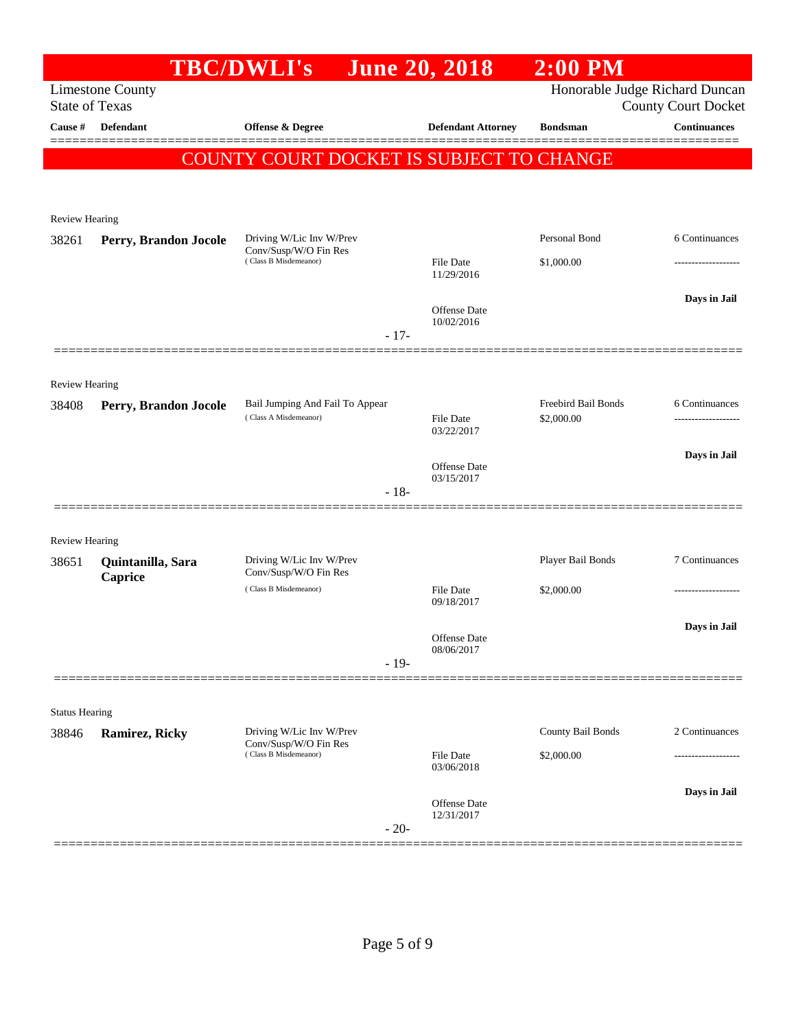|                       |                                                  | <b>TBC/DWLI's</b>                                 | <b>June 20, 2018</b>              | $2:00$ PM                      |                                                   |
|-----------------------|--------------------------------------------------|---------------------------------------------------|-----------------------------------|--------------------------------|---------------------------------------------------|
|                       | <b>Limestone County</b><br><b>State of Texas</b> |                                                   |                                   | Honorable Judge Richard Duncan |                                                   |
| Cause #               | Defendant                                        | <b>Offense &amp; Degree</b>                       | <b>Defendant Attorney</b>         | <b>Bondsman</b>                | <b>County Court Docket</b><br><b>Continuances</b> |
|                       |                                                  |                                                   |                                   |                                | ========                                          |
|                       |                                                  | COUNTY COURT DOCKET IS SUBJECT TO CHANGE          |                                   |                                |                                                   |
|                       |                                                  |                                                   |                                   |                                |                                                   |
| Review Hearing        |                                                  |                                                   |                                   |                                |                                                   |
| 38261                 | Perry, Brandon Jocole                            | Driving W/Lic Inv W/Prev<br>Conv/Susp/W/O Fin Res |                                   | Personal Bond                  | 6 Continuances                                    |
|                       |                                                  | (Class B Misdemeanor)                             | <b>File Date</b><br>11/29/2016    | \$1,000.00                     |                                                   |
|                       |                                                  |                                                   | <b>Offense Date</b>               |                                | Days in Jail                                      |
|                       |                                                  | $-17-$                                            | 10/02/2016                        |                                |                                                   |
|                       |                                                  |                                                   |                                   |                                |                                                   |
| <b>Review Hearing</b> |                                                  |                                                   |                                   |                                |                                                   |
| 38408                 | Perry, Brandon Jocole                            | Bail Jumping And Fail To Appear                   |                                   | Freebird Bail Bonds            | 6 Continuances                                    |
|                       |                                                  | (Class A Misdemeanor)                             | <b>File Date</b><br>03/22/2017    | \$2,000.00                     | -------------------                               |
|                       |                                                  |                                                   |                                   |                                | Days in Jail                                      |
|                       |                                                  |                                                   | <b>Offense Date</b><br>03/15/2017 |                                |                                                   |
|                       |                                                  | $-18-$                                            |                                   |                                |                                                   |
| Review Hearing        |                                                  |                                                   |                                   |                                |                                                   |
| 38651                 | Quintanilla, Sara                                | Driving W/Lic Inv W/Prev                          |                                   | Player Bail Bonds              | 7 Continuances                                    |
|                       | Caprice                                          | Conv/Susp/W/O Fin Res<br>(Class B Misdemeanor)    | File Date                         | \$2,000.00                     | ----------------                                  |
|                       |                                                  |                                                   | 09/18/2017                        |                                |                                                   |
|                       |                                                  |                                                   | Offense Date                      |                                | Days in Jail                                      |
|                       |                                                  | $-19-$                                            | 08/06/2017                        |                                |                                                   |
|                       |                                                  |                                                   |                                   |                                |                                                   |
| <b>Status Hearing</b> |                                                  |                                                   |                                   |                                |                                                   |
| 38846                 | Ramirez, Ricky                                   | Driving W/Lic Inv W/Prev<br>Conv/Susp/W/O Fin Res |                                   | County Bail Bonds              | 2 Continuances                                    |
|                       |                                                  | (Class B Misdemeanor)                             | <b>File Date</b><br>03/06/2018    | \$2,000.00                     |                                                   |
|                       |                                                  |                                                   |                                   |                                | Days in Jail                                      |
|                       |                                                  | $-20-$                                            | Offense Date<br>12/31/2017        |                                |                                                   |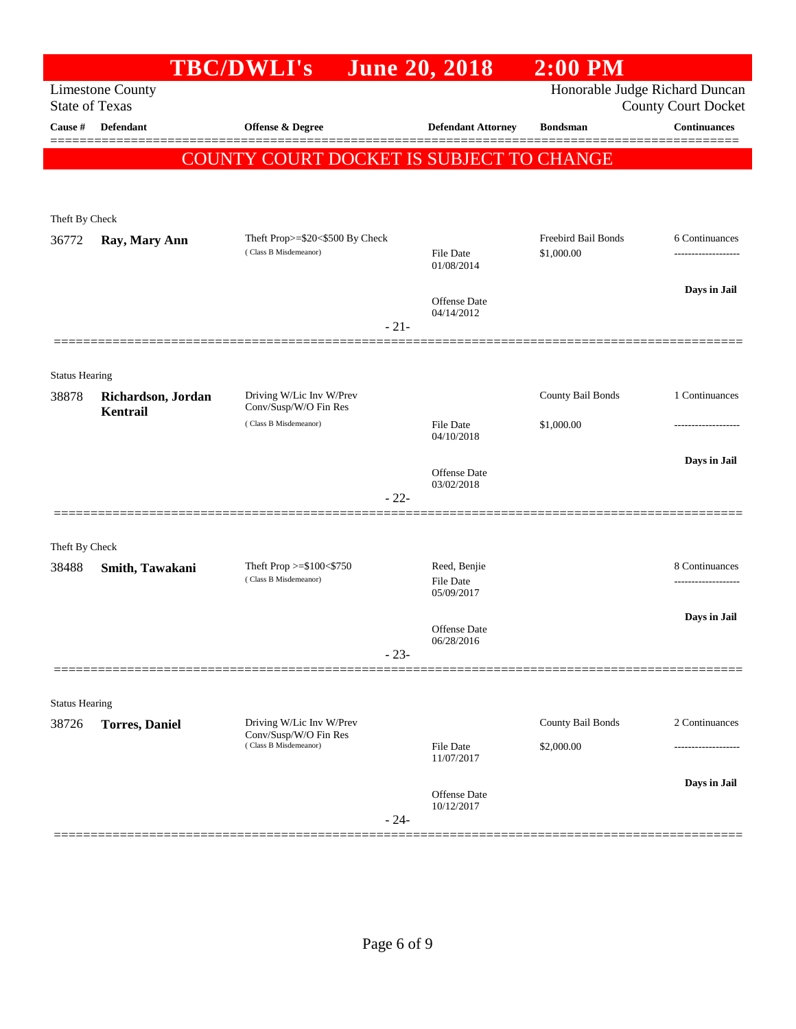|                       |                                | <b>TBC/DWLI's</b>                                        | <b>June 20, 2018</b>                    | 2:00 PM                           |                                                              |
|-----------------------|--------------------------------|----------------------------------------------------------|-----------------------------------------|-----------------------------------|--------------------------------------------------------------|
| <b>State of Texas</b> | <b>Limestone County</b>        |                                                          |                                         |                                   | Honorable Judge Richard Duncan<br><b>County Court Docket</b> |
| Cause #               | Defendant                      | <b>Offense &amp; Degree</b>                              | <b>Defendant Attorney</b>               | <b>Bondsman</b>                   | <b>Continuances</b>                                          |
|                       |                                | COUNTY COURT DOCKET IS SUBJECT TO CHANGE                 |                                         |                                   |                                                              |
| Theft By Check        |                                |                                                          |                                         |                                   |                                                              |
| 36772                 | Ray, Mary Ann                  | Theft Prop>=\$20<\$500 By Check<br>(Class B Misdemeanor) | <b>File Date</b><br>01/08/2014          | Freebird Bail Bonds<br>\$1,000.00 | 6 Continuances                                               |
|                       |                                | $-21-$                                                   | <b>Offense</b> Date<br>04/14/2012       |                                   | Days in Jail                                                 |
| <b>Status Hearing</b> |                                |                                                          |                                         |                                   |                                                              |
| 38878                 | Richardson, Jordan<br>Kentrail | Driving W/Lic Inv W/Prev<br>Conv/Susp/W/O Fin Res        |                                         | County Bail Bonds                 | 1 Continuances                                               |
|                       |                                | (Class B Misdemeanor)                                    | <b>File Date</b><br>04/10/2018          | \$1,000.00                        |                                                              |
|                       |                                | $-22-$                                                   | <b>Offense</b> Date<br>03/02/2018       |                                   | Days in Jail                                                 |
| Theft By Check        |                                |                                                          |                                         |                                   |                                                              |
| 38488                 | Smith, Tawakani                | Theft Prop $>=$ \$100 $<$ \$750<br>(Class B Misdemeanor) | Reed, Benjie<br>File Date<br>05/09/2017 |                                   | 8 Continuances                                               |
|                       |                                | $-23-$                                                   | <b>Offense</b> Date<br>06/28/2016       |                                   | Days in Jail                                                 |
| <b>Status Hearing</b> |                                |                                                          |                                         |                                   |                                                              |
| 38726                 | <b>Torres</b> , Daniel         | Driving W/Lic Inv W/Prev                                 |                                         | County Bail Bonds                 | 2 Continuances                                               |
|                       |                                | Conv/Susp/W/O Fin Res<br>(Class B Misdemeanor)           | <b>File Date</b><br>11/07/2017          | \$2,000.00                        |                                                              |
|                       |                                | $-24-$                                                   | Offense Date<br>10/12/2017              |                                   | Days in Jail                                                 |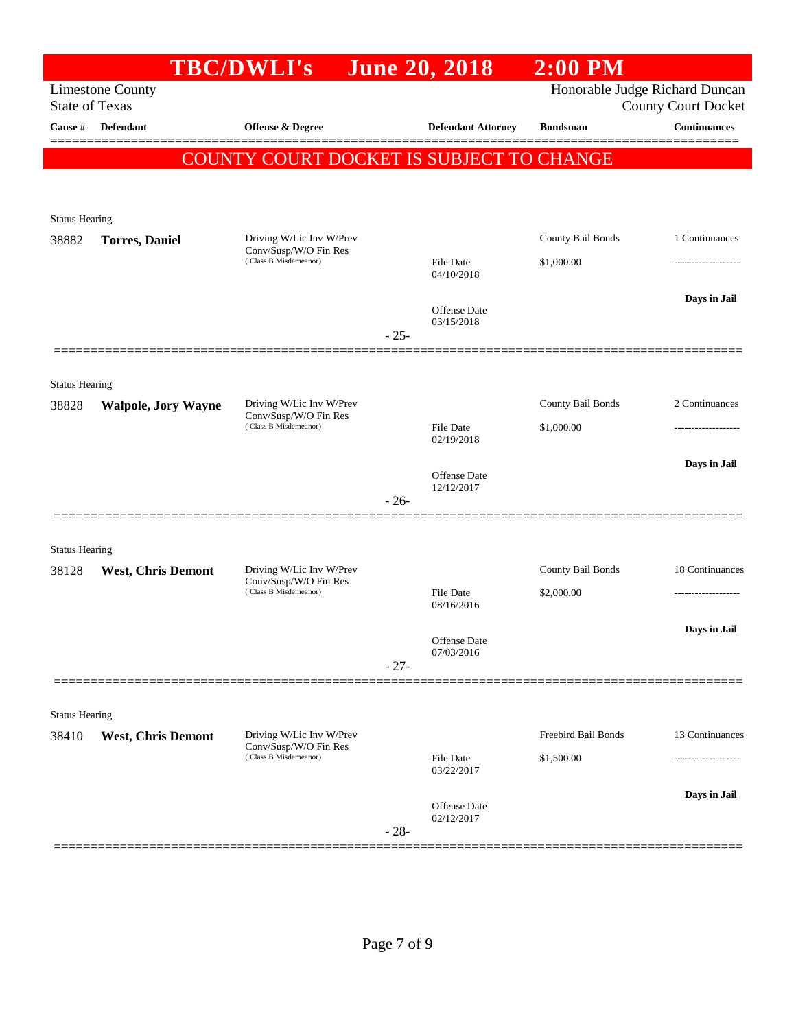|                                |                                                  | <b>TBC/DWLI's</b>                                                          | <b>June 20, 2018</b>       | $2:00$ PM                      |                            |
|--------------------------------|--------------------------------------------------|----------------------------------------------------------------------------|----------------------------|--------------------------------|----------------------------|
|                                | <b>Limestone County</b><br><b>State of Texas</b> |                                                                            |                            | Honorable Judge Richard Duncan | <b>County Court Docket</b> |
| Cause #                        | <b>Defendant</b>                                 | Offense & Degree                                                           | <b>Defendant Attorney</b>  | <b>Bondsman</b>                | <b>Continuances</b>        |
|                                |                                                  | COUNTY COURT DOCKET IS SUBJECT TO CHANGE                                   |                            |                                |                            |
|                                |                                                  |                                                                            |                            |                                |                            |
|                                |                                                  |                                                                            |                            |                                |                            |
| <b>Status Hearing</b>          |                                                  |                                                                            |                            |                                |                            |
| 38882                          | <b>Torres</b> , Daniel                           | Driving W/Lic Inv W/Prev<br>Conv/Susp/W/O Fin Res                          |                            | County Bail Bonds              | 1 Continuances             |
|                                |                                                  | (Class B Misdemeanor)                                                      | File Date<br>04/10/2018    | \$1,000.00                     |                            |
|                                |                                                  |                                                                            |                            |                                | Days in Jail               |
|                                |                                                  |                                                                            | Offense Date<br>03/15/2018 |                                |                            |
|                                |                                                  |                                                                            | $-25-$                     |                                |                            |
|                                |                                                  |                                                                            |                            |                                |                            |
| <b>Status Hearing</b><br>38828 | <b>Walpole, Jory Wayne</b>                       | Driving W/Lic Inv W/Prev                                                   |                            | County Bail Bonds              | 2 Continuances             |
|                                |                                                  | Conv/Susp/W/O Fin Res<br>(Class B Misdemeanor)                             | <b>File Date</b>           | \$1,000.00                     |                            |
|                                |                                                  |                                                                            | 02/19/2018                 |                                |                            |
|                                |                                                  |                                                                            | Offense Date               |                                | Days in Jail               |
|                                |                                                  |                                                                            | 12/12/2017<br>$-26-$       |                                |                            |
|                                |                                                  |                                                                            |                            |                                |                            |
| <b>Status Hearing</b>          |                                                  |                                                                            |                            |                                |                            |
| 38128                          | <b>West, Chris Demont</b>                        | Driving W/Lic Inv W/Prev<br>Conv/Susp/W/O Fin Res                          |                            | County Bail Bonds              | 18 Continuances            |
|                                |                                                  | (Class B Misdemeanor)                                                      | File Date<br>08/16/2016    | \$2,000.00                     |                            |
|                                |                                                  |                                                                            |                            |                                | Days in Jail               |
|                                |                                                  |                                                                            | Offense Date<br>07/03/2016 |                                |                            |
|                                |                                                  |                                                                            | $-27-$                     |                                |                            |
|                                |                                                  |                                                                            |                            |                                |                            |
| <b>Status Hearing</b>          |                                                  |                                                                            |                            |                                |                            |
| 38410                          | <b>West, Chris Demont</b>                        | Driving W/Lic Inv W/Prev<br>Conv/Susp/W/O Fin Res<br>(Class B Misdemeanor) |                            | Freebird Bail Bonds            | 13 Continuances            |
|                                |                                                  |                                                                            | File Date<br>03/22/2017    | \$1,500.00                     |                            |
|                                |                                                  |                                                                            | Offense Date               |                                | Days in Jail               |
|                                |                                                  |                                                                            | 02/12/2017                 |                                |                            |
|                                |                                                  |                                                                            | $-28-$                     |                                |                            |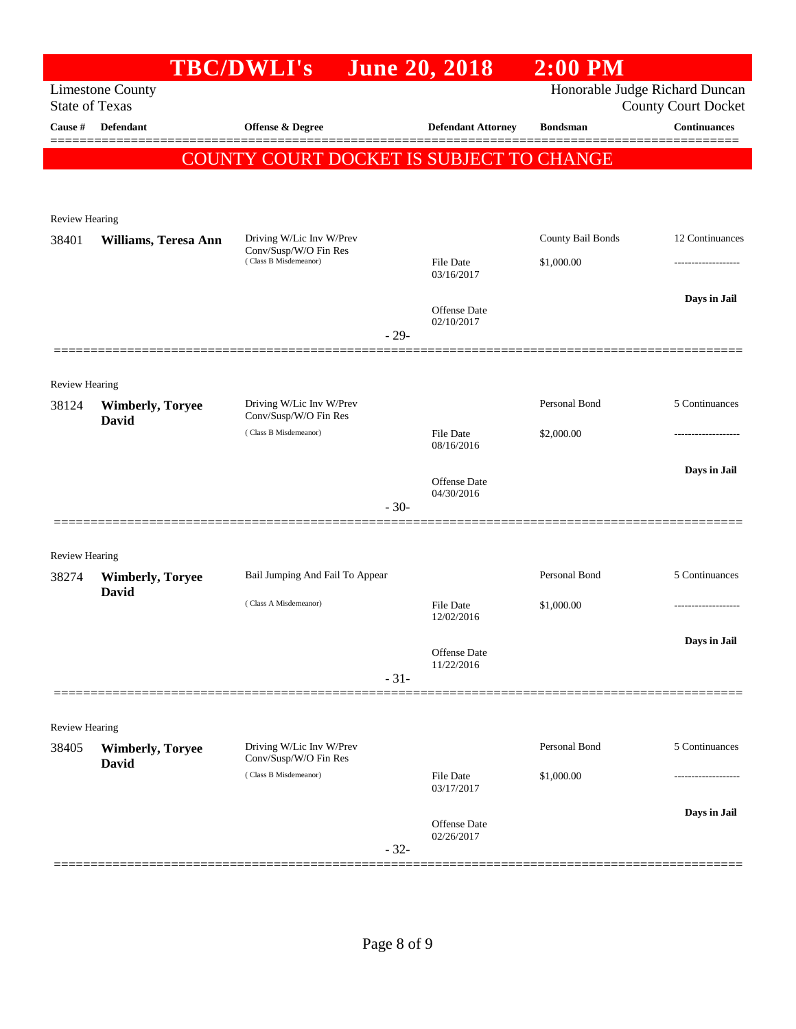|                                  |                         | <b>TBC/DWLI's</b>                              |        | <b>June 20, 2018</b>              | $2:00$ PM         |                                                   |
|----------------------------------|-------------------------|------------------------------------------------|--------|-----------------------------------|-------------------|---------------------------------------------------|
|                                  | <b>Limestone County</b> |                                                |        |                                   |                   | Honorable Judge Richard Duncan                    |
| <b>State of Texas</b><br>Cause # | Defendant               | Offense & Degree                               |        | <b>Defendant Attorney</b>         | <b>Bondsman</b>   | <b>County Court Docket</b><br><b>Continuances</b> |
|                                  |                         |                                                |        |                                   |                   |                                                   |
|                                  |                         | COUNTY COURT DOCKET IS SUBJECT TO CHANGE       |        |                                   |                   |                                                   |
|                                  |                         |                                                |        |                                   |                   |                                                   |
| <b>Review Hearing</b>            |                         |                                                |        |                                   |                   |                                                   |
| 38401                            | Williams, Teresa Ann    | Driving W/Lic Inv W/Prev                       |        |                                   | County Bail Bonds | 12 Continuances                                   |
|                                  |                         | Conv/Susp/W/O Fin Res<br>(Class B Misdemeanor) |        | File Date                         | \$1,000.00        |                                                   |
|                                  |                         |                                                |        | 03/16/2017                        |                   |                                                   |
|                                  |                         |                                                |        | <b>Offense</b> Date               |                   | Days in Jail                                      |
|                                  |                         |                                                | $-29-$ | 02/10/2017                        |                   |                                                   |
|                                  |                         |                                                |        |                                   |                   |                                                   |
| <b>Review Hearing</b>            |                         |                                                |        |                                   |                   |                                                   |
| 38124                            | <b>Wimberly, Toryee</b> | Driving W/Lic Inv W/Prev                       |        |                                   | Personal Bond     | 5 Continuances                                    |
|                                  | <b>David</b>            | Conv/Susp/W/O Fin Res<br>(Class B Misdemeanor) |        | File Date                         | \$2,000.00        |                                                   |
|                                  |                         |                                                |        | 08/16/2016                        |                   |                                                   |
|                                  |                         |                                                |        | <b>Offense</b> Date               |                   | Days in Jail                                      |
|                                  |                         |                                                | $-30-$ | 04/30/2016                        |                   |                                                   |
|                                  |                         |                                                |        |                                   |                   |                                                   |
| <b>Review Hearing</b>            |                         |                                                |        |                                   |                   |                                                   |
| 38274                            | <b>Wimberly, Toryee</b> | Bail Jumping And Fail To Appear                |        |                                   | Personal Bond     | 5 Continuances                                    |
|                                  | <b>David</b>            | (Class A Misdemeanor)                          |        | File Date                         | \$1,000.00        |                                                   |
|                                  |                         |                                                |        | 12/02/2016                        |                   |                                                   |
|                                  |                         |                                                |        | <b>Offense Date</b>               |                   | Days in Jail                                      |
|                                  |                         |                                                |        | 11/22/2016                        |                   |                                                   |
|                                  |                         |                                                | $-31-$ |                                   |                   |                                                   |
|                                  |                         |                                                |        |                                   |                   |                                                   |
| Review Hearing<br>38405          | <b>Wimberly, Toryee</b> | Driving W/Lic Inv W/Prev                       |        |                                   | Personal Bond     | 5 Continuances                                    |
|                                  | David                   | Conv/Susp/W/O Fin Res                          |        |                                   |                   |                                                   |
|                                  |                         | (Class B Misdemeanor)                          |        | File Date<br>03/17/2017           | \$1,000.00        |                                                   |
|                                  |                         |                                                |        |                                   |                   | Days in Jail                                      |
|                                  |                         |                                                |        | <b>Offense Date</b><br>02/26/2017 |                   |                                                   |
|                                  |                         |                                                | $-32-$ |                                   |                   |                                                   |